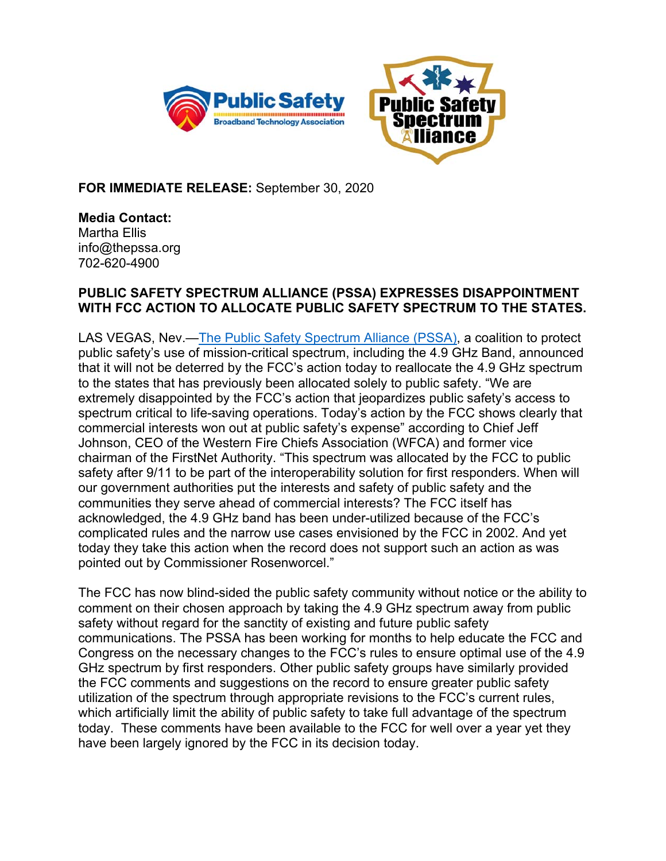



**FOR IMMEDIATE RELEASE:** September 30, 2020

**Media Contact:**  Martha Ellis info@thepssa.org 702-620-4900

## **PUBLIC SAFETY SPECTRUM ALLIANCE (PSSA) EXPRESSES DISAPPOINTMENT WITH FCC ACTION TO ALLOCATE PUBLIC SAFETY SPECTRUM TO THE STATES.**

LAS VEGAS, Nev.—The Public Safety Spectrum Alliance (PSSA), a coalition to protect public safety's use of mission-critical spectrum, including the 4.9 GHz Band, announced that it will not be deterred by the FCC's action today to reallocate the 4.9 GHz spectrum to the states that has previously been allocated solely to public safety. "We are extremely disappointed by the FCC's action that jeopardizes public safety's access to spectrum critical to life-saving operations. Today's action by the FCC shows clearly that commercial interests won out at public safety's expense" according to Chief Jeff Johnson, CEO of the Western Fire Chiefs Association (WFCA) and former vice chairman of the FirstNet Authority. "This spectrum was allocated by the FCC to public safety after 9/11 to be part of the interoperability solution for first responders. When will our government authorities put the interests and safety of public safety and the communities they serve ahead of commercial interests? The FCC itself has acknowledged, the 4.9 GHz band has been under-utilized because of the FCC's complicated rules and the narrow use cases envisioned by the FCC in 2002. And yet today they take this action when the record does not support such an action as was pointed out by Commissioner Rosenworcel."

The FCC has now blind-sided the public safety community without notice or the ability to comment on their chosen approach by taking the 4.9 GHz spectrum away from public safety without regard for the sanctity of existing and future public safety communications. The PSSA has been working for months to help educate the FCC and Congress on the necessary changes to the FCC's rules to ensure optimal use of the 4.9 GHz spectrum by first responders. Other public safety groups have similarly provided the FCC comments and suggestions on the record to ensure greater public safety utilization of the spectrum through appropriate revisions to the FCC's current rules, which artificially limit the ability of public safety to take full advantage of the spectrum today. These comments have been available to the FCC for well over a year yet they have been largely ignored by the FCC in its decision today.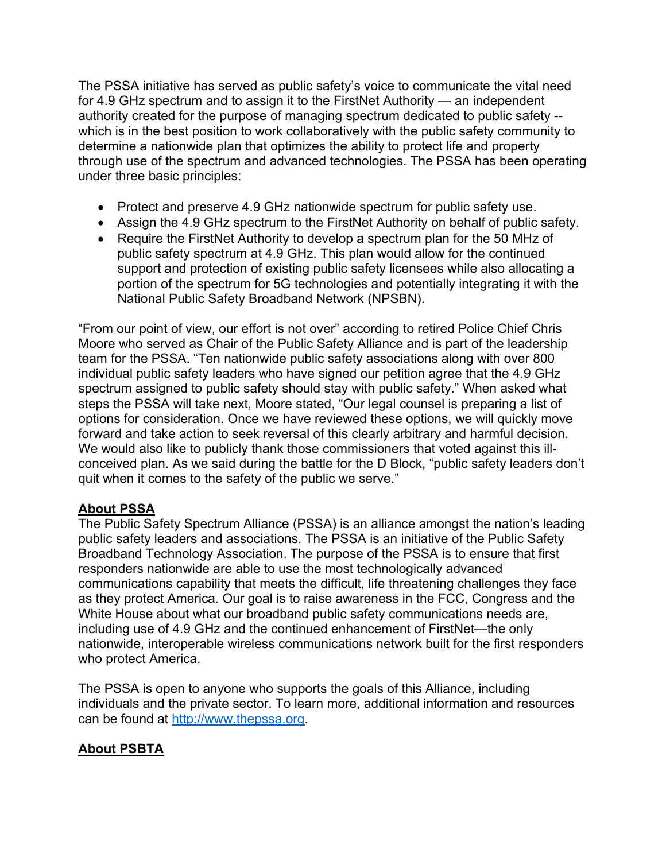The PSSA initiative has served as public safety's voice to communicate the vital need for 4.9 GHz spectrum and to assign it to the FirstNet Authority — an independent authority created for the purpose of managing spectrum dedicated to public safety - which is in the best position to work collaboratively with the public safety community to determine a nationwide plan that optimizes the ability to protect life and property through use of the spectrum and advanced technologies. The PSSA has been operating under three basic principles:

- Protect and preserve 4.9 GHz nationwide spectrum for public safety use.
- Assign the 4.9 GHz spectrum to the FirstNet Authority on behalf of public safety.
- Require the FirstNet Authority to develop a spectrum plan for the 50 MHz of public safety spectrum at 4.9 GHz. This plan would allow for the continued support and protection of existing public safety licensees while also allocating a portion of the spectrum for 5G technologies and potentially integrating it with the National Public Safety Broadband Network (NPSBN).

"From our point of view, our effort is not over" according to retired Police Chief Chris Moore who served as Chair of the Public Safety Alliance and is part of the leadership team for the PSSA. "Ten nationwide public safety associations along with over 800 individual public safety leaders who have signed our petition agree that the 4.9 GHz spectrum assigned to public safety should stay with public safety." When asked what steps the PSSA will take next, Moore stated, "Our legal counsel is preparing a list of options for consideration. Once we have reviewed these options, we will quickly move forward and take action to seek reversal of this clearly arbitrary and harmful decision. We would also like to publicly thank those commissioners that voted against this illconceived plan. As we said during the battle for the D Block, "public safety leaders don't quit when it comes to the safety of the public we serve."

## **About PSSA**

The Public Safety Spectrum Alliance (PSSA) is an alliance amongst the nation's leading public safety leaders and associations. The PSSA is an initiative of the Public Safety Broadband Technology Association. The purpose of the PSSA is to ensure that first responders nationwide are able to use the most technologically advanced communications capability that meets the difficult, life threatening challenges they face as they protect America. Our goal is to raise awareness in the FCC, Congress and the White House about what our broadband public safety communications needs are, including use of 4.9 GHz and the continued enhancement of FirstNet—the only nationwide, interoperable wireless communications network built for the first responders who protect America.

The PSSA is open to anyone who supports the goals of this Alliance, including individuals and the private sector. To learn more, additional information and resources can be found at http://www.thepssa.org.

## **About PSBTA**